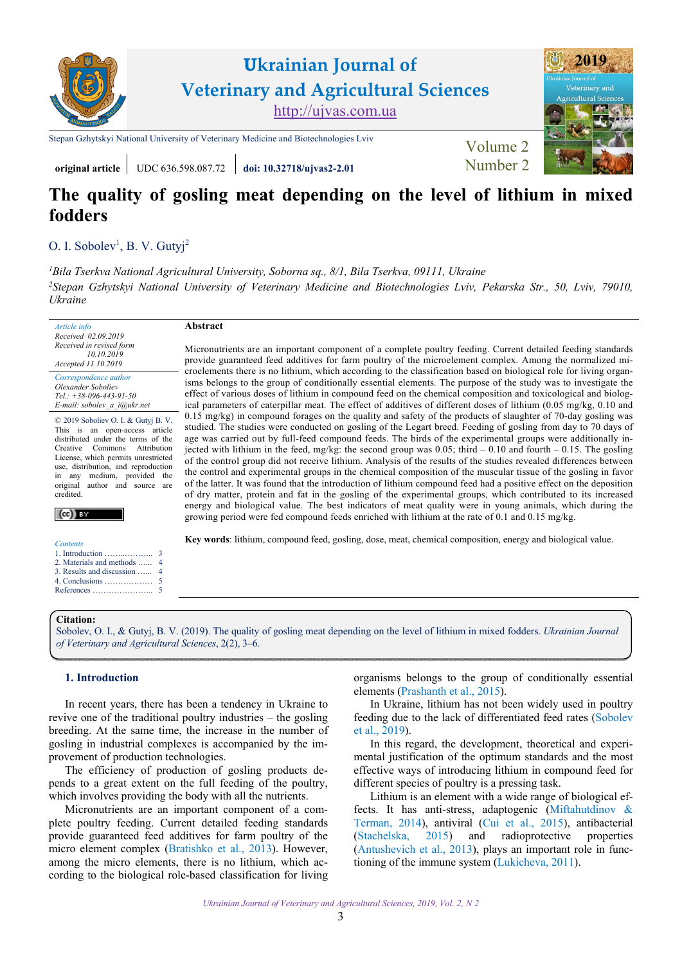

## **original article** UDC 636.598.087.72 **[doi: 10.32718/ujvas2-2.01](https://doi.org/10.32718/ujvas2-2.01)** [Number 2](https://ujvas.com.ua/index.php/journal/issue/view/4)

**Abstract** 

# **The quality of gosling meat depending on the level of lithium in mixed fodders**

### O. [I. Sobolev](http://orcid.org/0000-0003-3239-0560)<sup>1</sup>, [B. V. Gutyj](https://orcid.org/0000-0002-5971-8776)<sup>2</sup>

*<sup>1</sup>Bila Tserkva [National Agricultural University, Soborna sq.,](https://btsau.edu.ua) 8/1, Bila Tserkva, 09111, Ukraine <sup>2</sup>Stepan Gzhytskyi National University of [Veterinary Medicine and Biotechnologies Lviv, Pekarska Str.,](https://lvet.edu.ua) 50, Lviv, 79010, Ukraine*

*Article info Received 02.09.2019 Received in revised form 10.10.2019 Accepted 11.10.2019* 

*Correspondence author [Olexander Soboliev](https://scholar.google.com.ua/citations?hl=ru&user=s3EyhcEAAAAJ) Tel.: +38-096-443-91-50 E-mail: sobolev\_a\_i@ukr.net* 

© 2019 Soboliev O. I. & Gutyj B. V. This is an open-access article distributed under the terms of the Creative Commons Attribution License, which permits unrestricted use, distribution, and reproduction in any medium, provided the original author and source are credited



*Contents*  1. Introduction ……..……….. [2. Materials and methods …...](#page-1-0)  [3. Results and discussion …...](#page-1-0) [4. Conclusions ………………](#page-2-0) [References …………………..](#page-2-0)

Micronutrients are an important component of a complete poultry feeding. Current detailed feeding standards provide guaranteed feed additives for farm poultry of the microelement complex. Among the normalized microelements there is no lithium, which according to the classification based on biological role for living organisms belongs to the group of conditionally essential elements. The purpose of the study was to investigate the effect of various doses of lithium in compound feed on the chemical composition and toxicological and biological parameters of caterpillar meat. The effect of additives of different doses of lithium (0.05 mg/kg, 0.10 and 0.15 mg/kg) in compound forages on the quality and safety of the products of slaughter of 70-day gosling was studied. The studies were conducted on gosling of the Legart breed. Feeding of gosling from day to 70 days of age was carried out by full-feed compound feeds. The birds of the experimental groups were additionally injected with lithium in the feed, mg/kg: the second group was 0.05; third – 0.10 and fourth – 0.15. The gosling of the control group did not receive lithium. Analysis of the results of the studies revealed differences between the control and experimental groups in the chemical composition of the muscular tissue of the gosling in favor of the latter. It was found that the introduction of lithium compound feed had a positive effect on the deposition of dry matter, protein and fat in the gosling of the experimental groups, which contributed to its increased energy and biological value. The best indicators of meat quality were in young animals, which during the growing period were fed compound feeds enriched with lithium at the rate of 0.1 and 0.15 mg/kg.

**Key words**: lithium, compound feed, gosling, dose, meat, chemical composition, energy and biological value.

#### **Citation:**

Sobolev, O. I., & Gutyj, B. V. (2019). The quality of gosling meat depending on the level of lithium in mixed fodders. *Ukrainian Journal [of Veterinary and Agricultural Sciences](https://doi.org/10.32718/ujvas2-2.01)*, 2(2), 3–6.

#### **1. Introduction**

In recent years, there has been a tendency in Ukraine to revive one of the traditional poultry industries – the gosling breeding. At the same time, the increase in the number of gosling in industrial complexes is accompanied by the improvement of production technologies.

The efficiency of production of gosling products depends to a great extent on the full feeding of the poultry, which involves providing the body with all the nutrients.

Micronutrients are an important component of a complete poultry feeding. Current detailed feeding standards provide guaranteed feed additives for farm poultry of the micro element complex [\(Bratishko et al., 2013](#page-2-0)). However, among the micro elements, there is no lithium, which according to the biological role-based classification for living organisms belongs to the group of conditionally essential elements [\(Prashanth et al., 2015\)](#page-3-0).

In Ukraine, lithium has not been widely used in poultry feeding due to the lack of differentiated feed rates [\(Sobolev](#page-3-0)  [et al., 2019](#page-3-0)).

In this regard, the development, theoretical and experimental justification of the optimum standards and the most effective ways of introducing lithium in compound feed for different species of poultry is a pressing task.

Lithium is an element with a wide range of biological effects. It has anti-stress, adaptogenic [\(Miftahutdinov &](#page-3-0)  [Terman, 2014](#page-3-0)), antiviral ([Cui et al., 2015](#page-2-0)), antibacterial [\(Stachelska, 2015\)](#page-3-0) and radioprotective properties [\(Antushevich et al., 2013\)](#page-2-0), plays an important role in functioning of the immune system [\(Lukicheva, 2011\)](#page-3-0).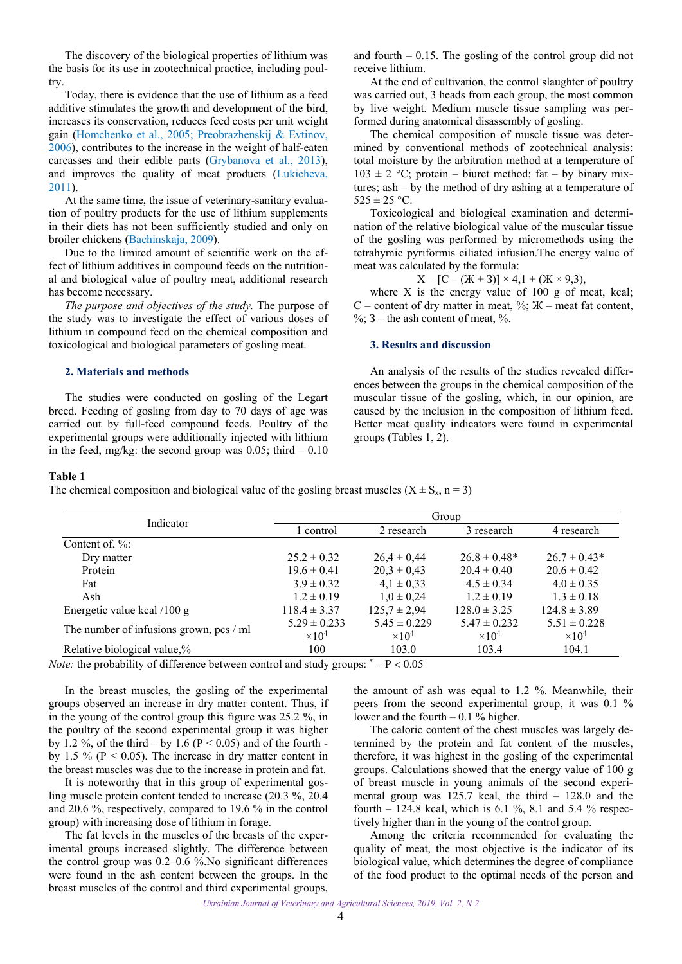<span id="page-1-0"></span>The discovery of the biological properties of lithium was the basis for its use in zootechnical practice, including poultry.

Today, there is evidence that the use of lithium as a feed additive stimulates the growth and development of the bird, increases its conservation, reduces feed costs per unit weight gain ([Homchenko et al., 2005](#page-2-0); [Preobrazhenskij & Evtinov,](#page-3-0) [2006\)](#page-3-0), contributes to the increase in the weight of half-eaten carcasses and their edible parts ([Grybanova et al., 2013](#page-2-0)), and improves the quality of meat products ([Lukicheva,](#page-3-0) [2011\)](#page-3-0).

At the same time, the issue of veterinary-sanitary evaluation of poultry products for the use of lithium supplements in their diets has not been sufficiently studied and only on broiler chickens ([Bachinskaja, 2009](#page-2-0)).

Due to the limited amount of scientific work on the effect of lithium additives in compound feeds on the nutritional and biological value of poultry meat, additional research has become necessary.

*The purpose and objectives of the study.* The purpose of the study was to investigate the effect of various doses of lithium in compound feed on the chemical composition and toxicological and biological parameters of gosling meat.

#### **2. Materials and methods**

The studies were conducted on gosling of the Legart breed. Feeding of gosling from day to 70 days of age was carried out by full-feed compound feeds. Poultry of the experimental groups were additionally injected with lithium in the feed, mg/kg: the second group was  $0.05$ ; third  $-0.10$  and fourth – 0.15. The gosling of the control group did not receive lithium.

At the end of cultivation, the control slaughter of poultry was carried out, 3 heads from each group, the most common by live weight. Medium muscle tissue sampling was performed during anatomical disassembly of gosling.

The chemical composition of muscle tissue was determined by conventional methods of zootechnical analysis: total moisture by the arbitration method at a temperature of  $103 \pm 2$  °C; protein – biuret method; fat – by binary mixtures; ash – by the method of dry ashing at a temperature of  $525 \pm 25$  °C.

Toxicological and biological examination and determination of the relative biological value of the muscular tissue of the gosling was performed by micromethods using the tetrahymic pyriformis ciliated infusion.The energy value of meat was calculated by the formula:

$$
X = [C - (X + 3)] \times 4, 1 + (X \times 9, 3),
$$

where  $X$  is the energy value of 100 g of meat, kcal; C – content of dry matter in meat,  $\%$ ;  $\mathbb{X}$  – meat fat content,  $\%$ ; 3 – the ash content of meat,  $\%$ .

#### **3. Results and discussion**

An analysis of the results of the studies revealed differences between the groups in the chemical composition of the muscular tissue of the gosling, which, in our opinion, are caused by the inclusion in the composition of lithium feed. Better meat quality indicators were found in experimental groups (Tables 1, 2).

#### **Table 1**

The chemical composition and biological value of the gosling breast muscles ( $X \pm S_x$ , n = 3)

| Indicator                               | Group                    |                          |                          |                          |  |
|-----------------------------------------|--------------------------|--------------------------|--------------------------|--------------------------|--|
|                                         | control                  | 2 research               | 3 research               | 4 research               |  |
| Content of, $\%$ :                      |                          |                          |                          |                          |  |
| Dry matter                              | $25.2 \pm 0.32$          | $26.4 \pm 0.44$          | $26.8 \pm 0.48*$         | $26.7 \pm 0.43*$         |  |
| Protein                                 | $19.6 \pm 0.41$          | $20.3 \pm 0.43$          | $20.4 \pm 0.40$          | $20.6 \pm 0.42$          |  |
| Fat                                     | $3.9 \pm 0.32$           | $4.1 \pm 0.33$           | $4.5 \pm 0.34$           | $4.0 \pm 0.35$           |  |
| Ash                                     | $1.2 \pm 0.19$           | $1.0 \pm 0.24$           | $1.2 \pm 0.19$           | $1.3 \pm 0.18$           |  |
| Energetic value kcal /100 g             | $118.4 \pm 3.37$         | $125.7 \pm 2.94$         | $128.0 \pm 3.25$         | $124.8 \pm 3.89$         |  |
| The number of infusions grown, pcs / ml | $5.29 \pm 0.233$         | $5.45 \pm 0.229$         | $5.47 \pm 0.232$         | $5.51 \pm 0.228$         |  |
|                                         | $\times$ 10 <sup>4</sup> | $\times$ 10 <sup>4</sup> | $\times$ 10 <sup>4</sup> | $\times$ 10 <sup>4</sup> |  |
| Relative biological value,%             | 100                      | 103.0                    | 103.4                    | 104.1                    |  |

*Note:* the probability of difference between control and study groups:  $^* - P < 0.05$ 

In the breast muscles, the gosling of the experimental groups observed an increase in dry matter content. Thus, if in the young of the control group this figure was 25.2 %, in the poultry of the second experimental group it was higher by 1.2 %, of the third – by 1.6 ( $P \le 0.05$ ) and of the fourth by 1.5 % ( $P < 0.05$ ). The increase in dry matter content in the breast muscles was due to the increase in protein and fat.

It is noteworthy that in this group of experimental gosling muscle protein content tended to increase (20.3 %, 20.4 and 20.6 %, respectively, compared to 19.6 % in the control group) with increasing dose of lithium in forage.

The fat levels in the muscles of the breasts of the experimental groups increased slightly. The difference between the control group was  $0.2-0.6$  %. No significant differences were found in the ash content between the groups. In the breast muscles of the control and third experimental groups,

the amount of ash was equal to 1.2 %. Meanwhile, their peers from the second experimental group, it was 0.1 % lower and the fourth  $-0.1$  % higher.

The caloric content of the chest muscles was largely determined by the protein and fat content of the muscles, therefore, it was highest in the gosling of the experimental groups. Calculations showed that the energy value of 100 g of breast muscle in young animals of the second experimental group was 125.7 kcal, the third – 128.0 and the fourth – 124.8 kcal, which is 6.1 %, 8.1 and 5.4 % respectively higher than in the young of the control group.

Among the criteria recommended for evaluating the quality of meat, the most objective is the indicator of its biological value, which determines the degree of compliance of the food product to the optimal needs of the person and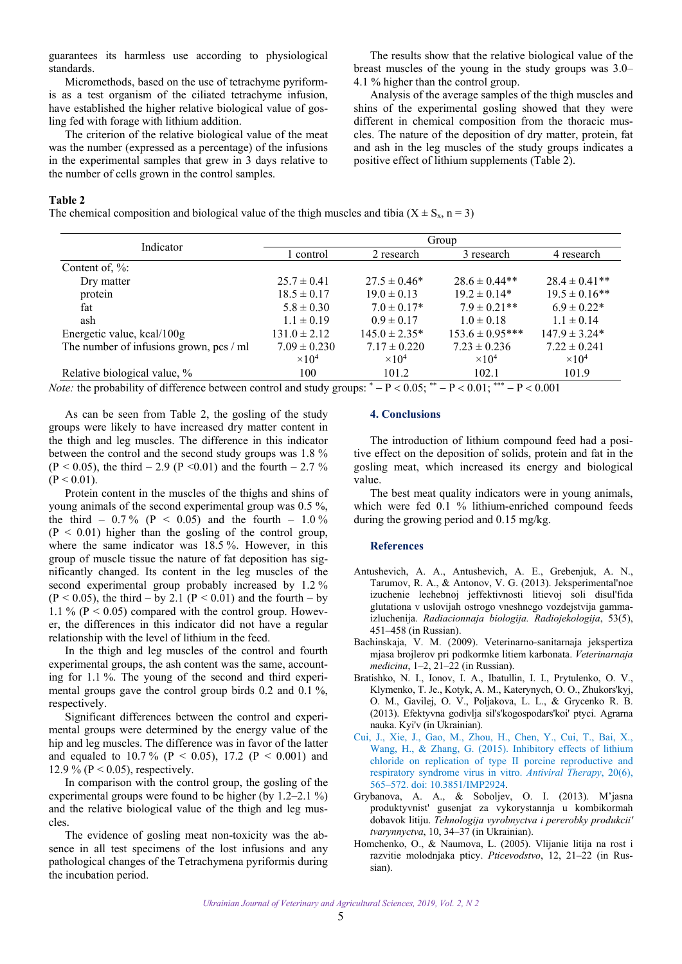<span id="page-2-0"></span>guarantees its harmless use according to physiological standards.

Micromethods, based on the use of tetrachyme pyriformis as a test organism of the ciliated tetrachyme infusion, have established the higher relative biological value of gosling fed with forage with lithium addition.

The criterion of the relative biological value of the meat was the number (expressed as a percentage) of the infusions in the experimental samples that grew in 3 days relative to the number of cells grown in the control samples.

The results show that the relative biological value of the breast muscles of the young in the study groups was 3.0– 4.1 % higher than the control group.

Analysis of the average samples of the thigh muscles and shins of the experimental gosling showed that they were different in chemical composition from the thoracic muscles. The nature of the deposition of dry matter, protein, fat and ash in the leg muscles of the study groups indicates a positive effect of lithium supplements (Table 2).

#### **Table 2**

The chemical composition and biological value of the thigh muscles and tibia ( $X \pm S_x$ , n = 3)

| Indicator                                 | Group                    |                          |                          |                          |  |
|-------------------------------------------|--------------------------|--------------------------|--------------------------|--------------------------|--|
|                                           | control                  | 2 research               | 3 research               | 4 research               |  |
| Content of, $\%$ :                        |                          |                          |                          |                          |  |
| Dry matter                                | $25.7 \pm 0.41$          | $27.5 \pm 0.46^*$        | $28.6 \pm 0.44**$        | $28.4 \pm 0.41**$        |  |
| protein                                   | $18.5 \pm 0.17$          | $19.0 \pm 0.13$          | $19.2 \pm 0.14*$         | $19.5 \pm 0.16$ **       |  |
| fat                                       | $5.8 \pm 0.30$           | $7.0 \pm 0.17*$          | $7.9 \pm 0.21$ **        | $6.9 \pm 0.22*$          |  |
| ash                                       | $1.1 \pm 0.19$           | $0.9 \pm 0.17$           | $1.0 \pm 0.18$           | $1.1 \pm 0.14$           |  |
| Energetic value, kcal/100g                | $131.0 \pm 2.12$         | $145.0 \pm 2.35*$        | $153.6 \pm 0.95***$      | $147.9 \pm 3.24*$        |  |
| The number of infusions grown, $pcs / ml$ | $7.09 \pm 0.230$         | $7.17 \pm 0.220$         | $7.23 \pm 0.236$         | $7.22 \pm 0.241$         |  |
|                                           | $\times$ 10 <sup>4</sup> | $\times$ 10 <sup>4</sup> | $\times$ 10 <sup>4</sup> | $\times$ 10 <sup>4</sup> |  |
| Relative biological value, %              | 100                      | 101.2                    | 102.1                    | 101.9                    |  |

*Note:* the probability of difference between control and study groups:  $\bar{P}$   $P$   $<$  0.05;  $\bar{P}$   $P$   $<$  0.01;  $\bar{P}$   $P$   $<$  0.001

As can be seen from Table 2, the gosling of the study groups were likely to have increased dry matter content in the thigh and leg muscles. The difference in this indicator between the control and the second study groups was 1.8 %  $(P < 0.05)$ , the third – 2.9 (P < 0.01) and the fourth – 2.7 %  $(P < 0.01)$ .

Protein content in the muscles of the thighs and shins of young animals of the second experimental group was 0.5 %, the third –  $0.7\%$  (P < 0.05) and the fourth – 1.0%  $(P < 0.01)$  higher than the gosling of the control group, where the same indicator was 18.5 %. However, in this group of muscle tissue the nature of fat deposition has significantly changed. Its content in the leg muscles of the second experimental group probably increased by 1.2 %  $(P < 0.05)$ , the third – by 2.1  $(P < 0.01)$  and the fourth – by 1.1 % ( $P < 0.05$ ) compared with the control group. However, the differences in this indicator did not have a regular relationship with the level of lithium in the feed.

In the thigh and leg muscles of the control and fourth experimental groups, the ash content was the same, accounting for 1.1 %. The young of the second and third experimental groups gave the control group birds 0.2 and 0.1 %, respectively.

Significant differences between the control and experimental groups were determined by the energy value of the hip and leg muscles. The difference was in favor of the latter and equaled to 10.7% ( $P < 0.05$ ), 17.2 ( $P < 0.001$ ) and 12.9 % ( $P < 0.05$ ), respectively.

In comparison with the control group, the gosling of the experimental groups were found to be higher (by 1.2–2.1 %) and the relative biological value of the thigh and leg muscles.

The evidence of gosling meat non-toxicity was the absence in all test specimens of the lost infusions and any pathological changes of the Tetrachymena pyriformis during the incubation period.

#### **4. Conclusions**

The introduction of lithium compound feed had a positive effect on the deposition of solids, protein and fat in the gosling meat, which increased its energy and biological value.

The best meat quality indicators were in young animals, which were fed 0.1 % lithium-enriched compound feeds during the growing period and 0.15 mg/kg.

#### **References**

- Antushevich, A. A., Antushevich, A. E., Grebenjuk, A. N., Tarumov, R. A., & Antonov, V. G. (2013). Jeksperimental'noe izuchenie lechebnoj jeffektivnosti litievoj soli disul'fida glutationa v uslovijah ostrogo vneshnego vozdejstvija gammaizluchenija. *Radiacionnaja biologija. Radiojekologija*, 53(5), 451–458 (in Russian).
- Bachinskaja, V. M. (2009). Veterinarno-sanitarnaja jekspertiza mjasa brojlerov pri podkormke litiem karbonata. *Veterinarnaja medicina*, 1–2, 21–22 (in Russian).
- Bratishko, N. I., Ionov, I. A., Ibatullin, I. I., Prytulenko, O. V., Klymenko, T. Je., Kotyk, A. M., Katerynych, O. O., Zhukors'kyj, O. M., Gavilej, O. V., Poljakova, L. L., & Grycenko R. B. (2013). Efektyvna godivlja sil's'kogospodars'koi' ptyci. Agrarna nauka. Kyi'v (in Ukrainian).
- [Cui, J., Xie, J., Gao, M., Zhou, H., Chen, Y., Cui, T., Bai, X.,](https://doi.org/10.3851/IMP2924)  Wang, H., & Zhang, G. (2015). Inhibitory effects of lithium chloride on replication of type II porcine reproductive and respiratory syndrome virus in vitro. *Antiviral Therару*, 20(6), 565–572. doi: 10.3851/IMP2924.
- Grybanova, A. A., & Soboljev, O. I. (2013). M'jasna produktyvnist' gusenjat za vykorystannja u kombikormah dobavok litiju. *Tehnologija vyrobnyctva i pererobky produkcii' tvarynnyctva*, 10, 34–37 (in Ukrainian).
- Homchenko, O., & Naumova, L. (2005). Vlijanie litija na rost i razvitie molodnjaka pticy. *Pticevodstvo*, 12, 21–22 (in Russian).